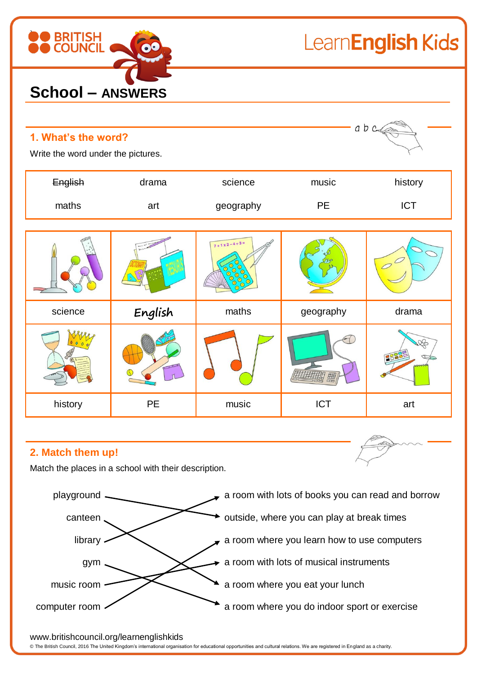

LearnEnglish Kids

| abc<br>1. What's the word?<br>Write the word under the pictures. |         |                                                  |            |            |
|------------------------------------------------------------------|---------|--------------------------------------------------|------------|------------|
| English                                                          | drama   | science                                          | music      | history    |
| maths                                                            | art     | geography                                        | PE         | <b>ICT</b> |
|                                                                  |         | $7 + 1 \times 2 - 4 + 3 =$<br>$\odot$<br>$\odot$ |            |            |
| science                                                          | English | maths                                            | geography  | drama      |
|                                                                  |         |                                                  |            | EBE        |
| history                                                          | PE      | music                                            | <b>ICT</b> | art        |

#### **2. Match them up!**

Match the places in a school with their description.



www.britishcouncil.org/learnenglishkids

© The British Council, 2016 The United Kingdom's international organisation for educational opportunities and cultural relations. We are registered in England as a charity.